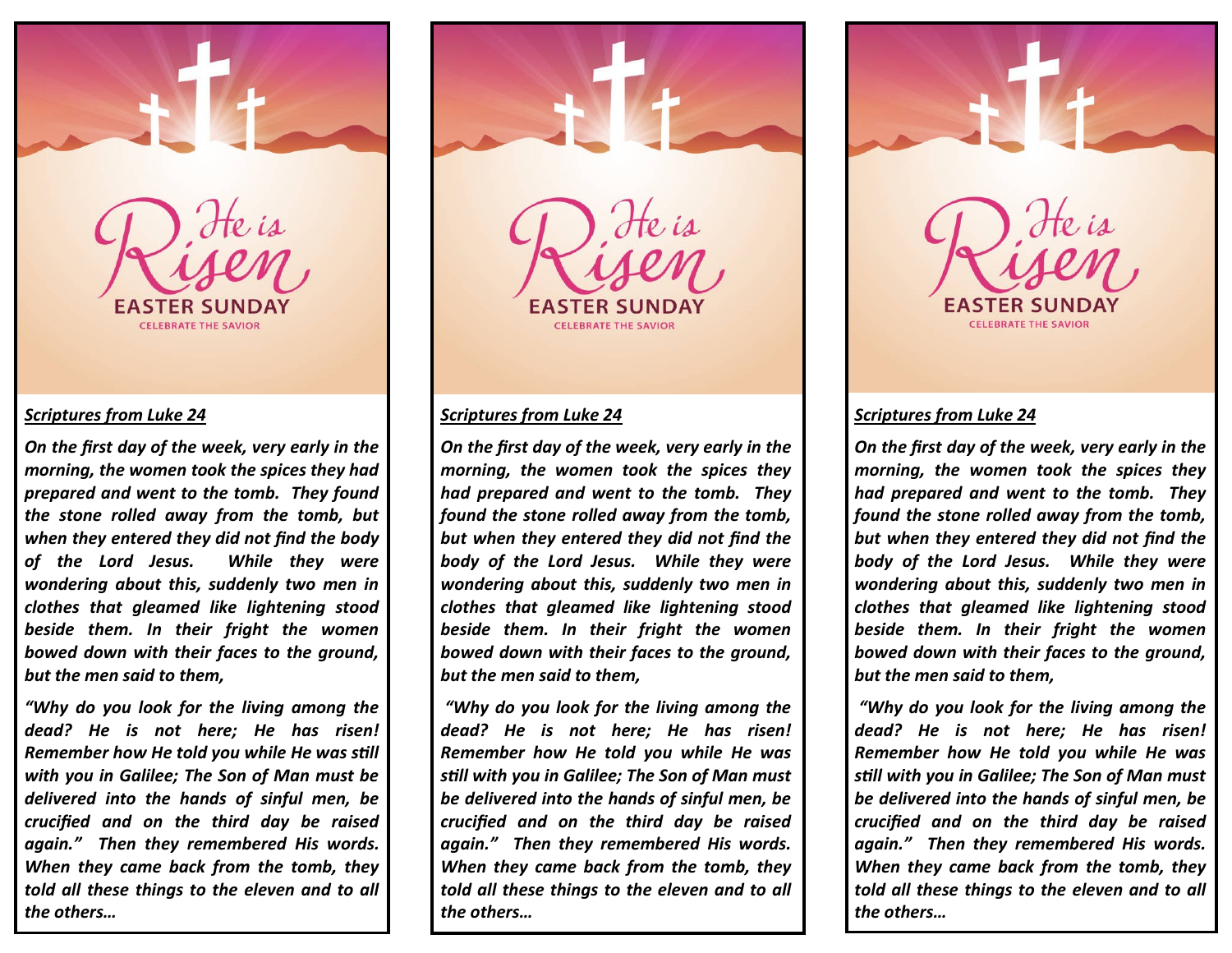

### *Scriptures from Luke 24*

*On the first day of the week, very early in the morning, the women took the spices they had prepared and went to the tomb. They found the stone rolled away from the tomb, but when they entered they did not find the body of the Lord Jesus. While they were wondering about this, suddenly two men in clothes that gleamed like lightening stood beside them. In their fright the women bowed down with their faces to the ground, but the men said to them,*

*"Why do you look for the living among the dead? He is not here; He has risen! Remember how He told you while He was still with you in Galilee; The Son of Man must be delivered into the hands of sinful men, be crucified and on the third day be raised again." Then they remembered His words. When they came back from the tomb, they told all these things to the eleven and to all the others…*





#### *Scriptures from Luke 24*

*On the first day of the week, very early in the morning, the women took the spices they had prepared and went to the tomb. They found the stone rolled away from the tomb, but when they entered they did not find the body of the Lord Jesus. While they were wondering about this, suddenly two men in clothes that gleamed like lightening stood beside them. In their fright the women bowed down with their faces to the ground, but the men said to them,*

*"Why do you look for the living among the dead? He is not here; He has risen! Remember how He told you while He was still with you in Galilee; The Son of Man must be delivered into the hands of sinful men, be crucified and on the third day be raised again." Then they remembered His words. When they came back from the tomb, they told all these things to the eleven and to all the others…*



### *Scriptures from Luke 24*

*On the first day of the week, very early in the morning, the women took the spices they had prepared and went to the tomb. They found the stone rolled away from the tomb, but when they entered they did not find the body of the Lord Jesus. While they were wondering about this, suddenly two men in clothes that gleamed like lightening stood beside them. In their fright the women bowed down with their faces to the ground, but the men said to them,*

*"Why do you look for the living among the dead? He is not here; He has risen! Remember how He told you while He was still with you in Galilee; The Son of Man must be delivered into the hands of sinful men, be crucified and on the third day be raised again." Then they remembered His words. When they came back from the tomb, they told all these things to the eleven and to all the others…*